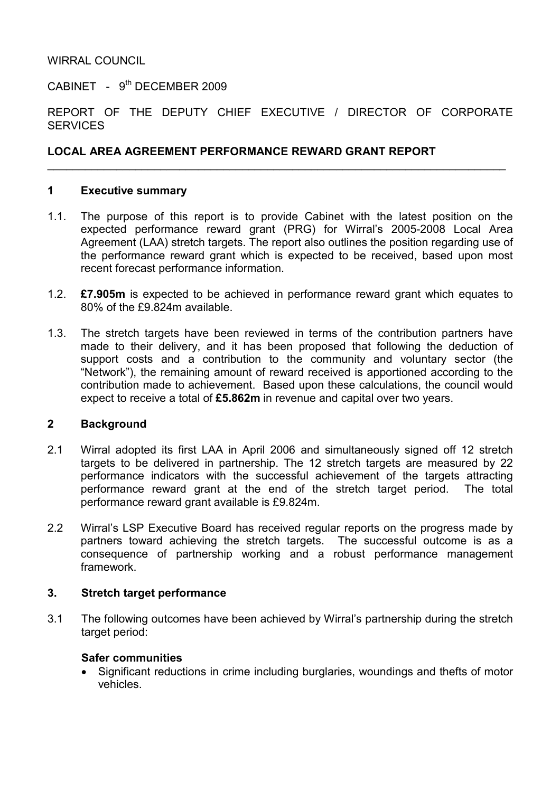### WIRRAL COUNCIL

CABINET -  $9<sup>th</sup>$  DECEMBER 2009

# REPORT OF THE DEPUTY CHIEF EXECUTIVE / DIRECTOR OF CORPORATE **SERVICES**

 $\_$  , and the contribution of the contribution of  $\mathcal{L}_\mathcal{A}$  , and the contribution of  $\mathcal{L}_\mathcal{A}$  , and

### LOCAL AREA AGREEMENT PERFORMANCE REWARD GRANT REPORT

#### 1 Executive summary

- 1.1. The purpose of this report is to provide Cabinet with the latest position on the expected performance reward grant (PRG) for Wirral's 2005-2008 Local Area Agreement (LAA) stretch targets. The report also outlines the position regarding use of the performance reward grant which is expected to be received, based upon most recent forecast performance information.
- 1.2. £7.905m is expected to be achieved in performance reward grant which equates to 80% of the £9.824m available.
- 1.3. The stretch targets have been reviewed in terms of the contribution partners have made to their delivery, and it has been proposed that following the deduction of support costs and a contribution to the community and voluntary sector (the "Network"), the remaining amount of reward received is apportioned according to the contribution made to achievement. Based upon these calculations, the council would expect to receive a total of £5.862m in revenue and capital over two vears.

#### 2 Background

- 2.1 Wirral adopted its first LAA in April 2006 and simultaneously signed off 12 stretch targets to be delivered in partnership. The 12 stretch targets are measured by 22 performance indicators with the successful achievement of the targets attracting performance reward grant at the end of the stretch target period. The total performance reward grant available is £9.824m.
- 2.2 Wirral's LSP Executive Board has received regular reports on the progress made by partners toward achieving the stretch targets. The successful outcome is as a consequence of partnership working and a robust performance management framework.

#### 3. Stretch target performance

3.1 The following outcomes have been achieved by Wirral's partnership during the stretch target period:

#### Safer communities

• Significant reductions in crime including burglaries, woundings and thefts of motor vehicles.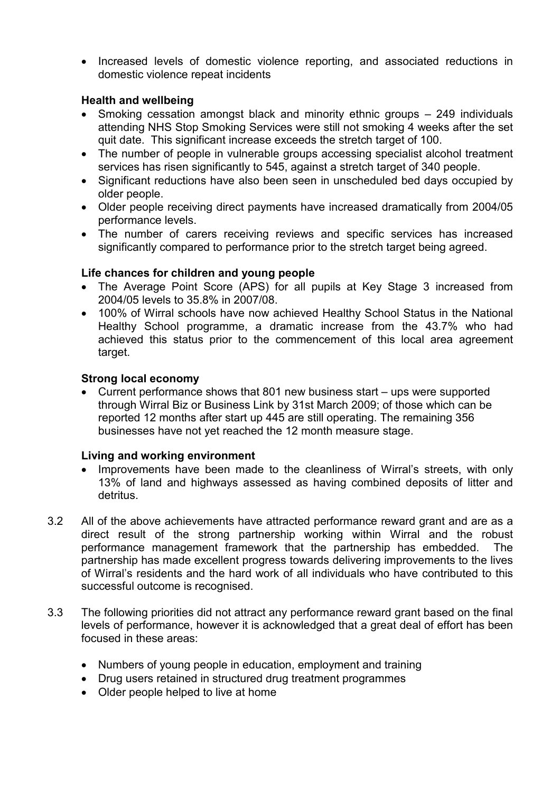• Increased levels of domestic violence reporting, and associated reductions in domestic violence repeat incidents

# Health and wellbeing

- Smoking cessation amongst black and minority ethnic groups 249 individuals attending NHS Stop Smoking Services were still not smoking 4 weeks after the set quit date. This significant increase exceeds the stretch target of 100.
- The number of people in vulnerable groups accessing specialist alcohol treatment services has risen significantly to 545, against a stretch target of 340 people.
- Significant reductions have also been seen in unscheduled bed days occupied by older people.
- Older people receiving direct payments have increased dramatically from 2004/05 performance levels.
- The number of carers receiving reviews and specific services has increased significantly compared to performance prior to the stretch target being agreed.

### Life chances for children and young people

- The Average Point Score (APS) for all pupils at Key Stage 3 increased from 2004/05 levels to 35.8% in 2007/08.
- 100% of Wirral schools have now achieved Healthy School Status in the National Healthy School programme, a dramatic increase from the 43.7% who had achieved this status prior to the commencement of this local area agreement target.

# Strong local economy

• Current performance shows that 801 new business start – ups were supported through Wirral Biz or Business Link by 31st March 2009; of those which can be reported 12 months after start up 445 are still operating. The remaining 356 businesses have not yet reached the 12 month measure stage.

# Living and working environment

- Improvements have been made to the cleanliness of Wirral's streets, with only 13% of land and highways assessed as having combined deposits of litter and detritus.
- 3.2 All of the above achievements have attracted performance reward grant and are as a direct result of the strong partnership working within Wirral and the robust performance management framework that the partnership has embedded. The partnership has made excellent progress towards delivering improvements to the lives of Wirral's residents and the hard work of all individuals who have contributed to this successful outcome is recognised.
- 3.3 The following priorities did not attract any performance reward grant based on the final levels of performance, however it is acknowledged that a great deal of effort has been focused in these areas:
	- Numbers of young people in education, employment and training
	- Drug users retained in structured drug treatment programmes
	- Older people helped to live at home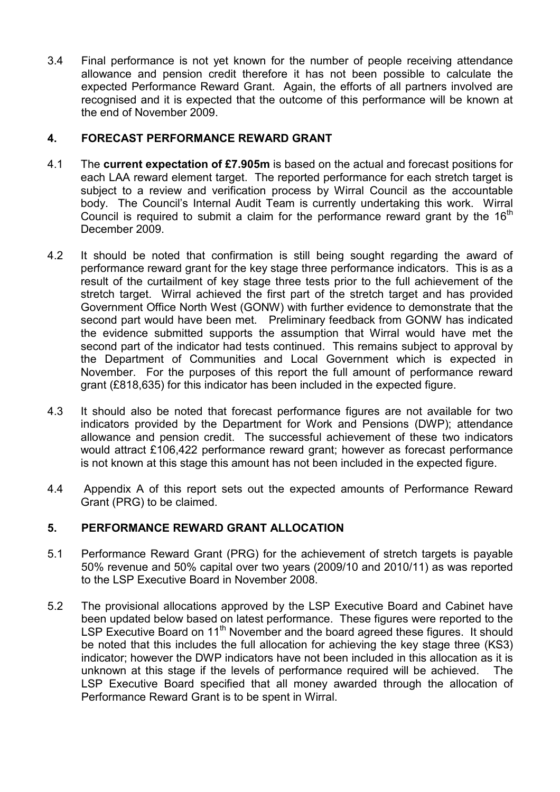3.4 Final performance is not yet known for the number of people receiving attendance allowance and pension credit therefore it has not been possible to calculate the expected Performance Reward Grant. Again, the efforts of all partners involved are recognised and it is expected that the outcome of this performance will be known at the end of November 2009.

# 4. FORECAST PERFORMANCE REWARD GRANT

- 4.1 The current expectation of £7.905m is based on the actual and forecast positions for each LAA reward element target. The reported performance for each stretch target is subject to a review and verification process by Wirral Council as the accountable body. The Council's Internal Audit Team is currently undertaking this work. Wirral Council is required to submit a claim for the performance reward grant by the  $16<sup>th</sup>$ December 2009.
- 4.2 It should be noted that confirmation is still being sought regarding the award of performance reward grant for the key stage three performance indicators. This is as a result of the curtailment of key stage three tests prior to the full achievement of the stretch target. Wirral achieved the first part of the stretch target and has provided Government Office North West (GONW) with further evidence to demonstrate that the second part would have been met. Preliminary feedback from GONW has indicated the evidence submitted supports the assumption that Wirral would have met the second part of the indicator had tests continued. This remains subject to approval by the Department of Communities and Local Government which is expected in November. For the purposes of this report the full amount of performance reward grant (£818,635) for this indicator has been included in the expected figure.
- 4.3 It should also be noted that forecast performance figures are not available for two indicators provided by the Department for Work and Pensions (DWP); attendance allowance and pension credit. The successful achievement of these two indicators would attract £106,422 performance reward grant; however as forecast performance is not known at this stage this amount has not been included in the expected figure.
- 4.4 Appendix A of this report sets out the expected amounts of Performance Reward Grant (PRG) to be claimed.

# 5. PERFORMANCE REWARD GRANT ALLOCATION

- 5.1 Performance Reward Grant (PRG) for the achievement of stretch targets is payable 50% revenue and 50% capital over two years (2009/10 and 2010/11) as was reported to the LSP Executive Board in November 2008.
- 5.2 The provisional allocations approved by the LSP Executive Board and Cabinet have been updated below based on latest performance. These figures were reported to the LSP Executive Board on 11<sup>th</sup> November and the board agreed these figures. It should be noted that this includes the full allocation for achieving the key stage three (KS3) indicator; however the DWP indicators have not been included in this allocation as it is unknown at this stage if the levels of performance required will be achieved. The LSP Executive Board specified that all money awarded through the allocation of Performance Reward Grant is to be spent in Wirral.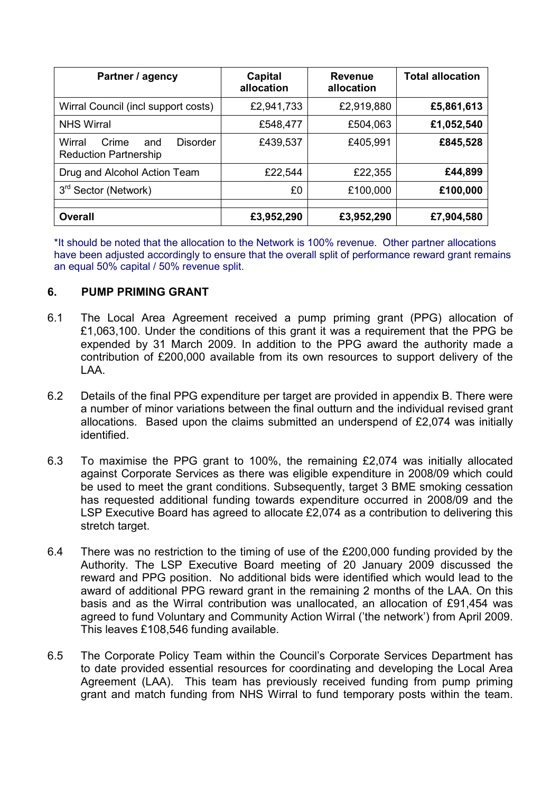| Partner / agency                                                   | Capital<br>allocation | <b>Revenue</b><br>allocation | <b>Total allocation</b> |
|--------------------------------------------------------------------|-----------------------|------------------------------|-------------------------|
| Wirral Council (incl support costs)                                | £2,941,733            | £2,919,880                   | £5,861,613              |
| <b>NHS Wirral</b>                                                  | £548,477              | £504,063                     | £1,052,540              |
| Wirral<br>Disorder<br>Crime<br>and<br><b>Reduction Partnership</b> | £439,537              | £405,991                     | £845,528                |
| Drug and Alcohol Action Team                                       | £22,544               | £22,355                      | £44,899                 |
| 3 <sup>rd</sup> Sector (Network)                                   | £0                    | £100,000                     | £100,000                |
| <b>Overall</b>                                                     | £3,952,290            | £3,952,290                   | £7,904,580              |

\*It should be noted that the allocation to the Network is 100% revenue. Other partner allocations have been adjusted accordingly to ensure that the overall split of performance reward grant remains an equal 50% capital / 50% revenue split.

### 6. PUMP PRIMING GRANT

- 6.1 The Local Area Agreement received a pump priming grant (PPG) allocation of £1,063,100. Under the conditions of this grant it was a requirement that the PPG be expended by 31 March 2009. In addition to the PPG award the authority made a contribution of £200,000 available from its own resources to support delivery of the LAA.
- 6.2 Details of the final PPG expenditure per target are provided in appendix B. There were a number of minor variations between the final outturn and the individual revised grant allocations. Based upon the claims submitted an underspend of £2,074 was initially identified.
- 6.3 To maximise the PPG grant to 100%, the remaining £2,074 was initially allocated against Corporate Services as there was eligible expenditure in 2008/09 which could be used to meet the grant conditions. Subsequently, target 3 BME smoking cessation has requested additional funding towards expenditure occurred in 2008/09 and the LSP Executive Board has agreed to allocate £2,074 as a contribution to delivering this stretch target.
- 6.4 There was no restriction to the timing of use of the £200,000 funding provided by the Authority. The LSP Executive Board meeting of 20 January 2009 discussed the reward and PPG position. No additional bids were identified which would lead to the award of additional PPG reward grant in the remaining 2 months of the LAA. On this basis and as the Wirral contribution was unallocated, an allocation of £91,454 was agreed to fund Voluntary and Community Action Wirral ('the network') from April 2009. This leaves £108,546 funding available.
- 6.5 The Corporate Policy Team within the Council's Corporate Services Department has to date provided essential resources for coordinating and developing the Local Area Agreement (LAA). This team has previously received funding from pump priming grant and match funding from NHS Wirral to fund temporary posts within the team.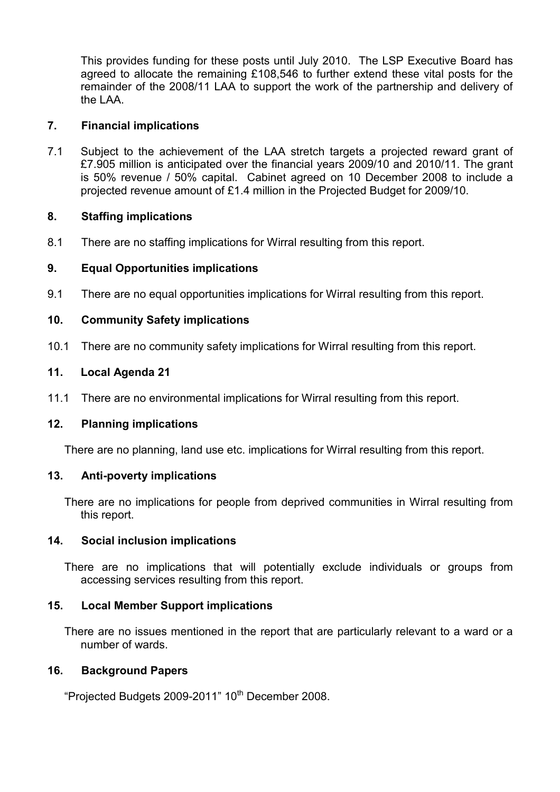This provides funding for these posts until July 2010. The LSP Executive Board has agreed to allocate the remaining £108,546 to further extend these vital posts for the remainder of the 2008/11 LAA to support the work of the partnership and delivery of the LAA

# 7. Financial implications

7.1 Subject to the achievement of the LAA stretch targets a projected reward grant of £7.905 million is anticipated over the financial years 2009/10 and 2010/11. The grant is 50% revenue / 50% capital. Cabinet agreed on 10 December 2008 to include a projected revenue amount of £1.4 million in the Projected Budget for 2009/10.

### 8. Staffing implications

8.1 There are no staffing implications for Wirral resulting from this report.

# 9. Equal Opportunities implications

9.1 There are no equal opportunities implications for Wirral resulting from this report.

# 10. Community Safety implications

10.1 There are no community safety implications for Wirral resulting from this report.

# 11. Local Agenda 21

11.1 There are no environmental implications for Wirral resulting from this report.

### 12. Planning implications

There are no planning, land use etc. implications for Wirral resulting from this report.

### 13. Anti-poverty implications

 There are no implications for people from deprived communities in Wirral resulting from this report.

### 14. Social inclusion implications

 There are no implications that will potentially exclude individuals or groups from accessing services resulting from this report.

### 15. Local Member Support implications

 There are no issues mentioned in the report that are particularly relevant to a ward or a number of wards.

### 16. Background Papers

"Projected Budgets 2009-2011" 10<sup>th</sup> December 2008.